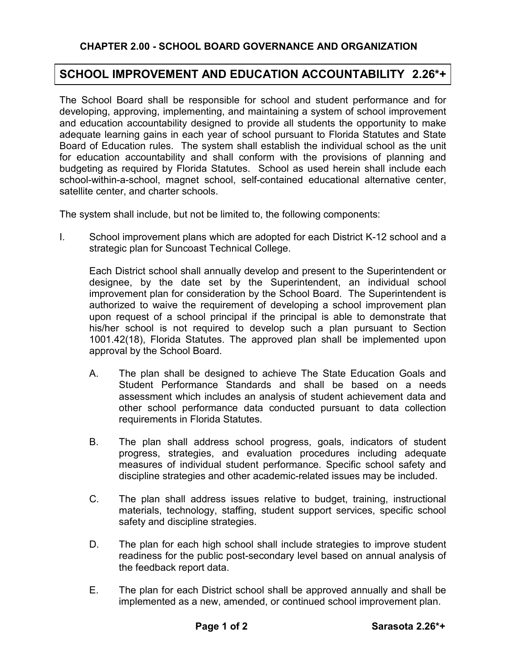## **SCHOOL IMPROVEMENT AND EDUCATION ACCOUNTABILITY 2.26\*+**

The School Board shall be responsible for school and student performance and for developing, approving, implementing, and maintaining a system of school improvement and education accountability designed to provide all students the opportunity to make adequate learning gains in each year of school pursuant to Florida Statutes and State Board of Education rules. The system shall establish the individual school as the unit for education accountability and shall conform with the provisions of planning and budgeting as required by Florida Statutes. School as used herein shall include each school-within-a-school, magnet school, self-contained educational alternative center, satellite center, and charter schools.

The system shall include, but not be limited to, the following components:

I. School improvement plans which are adopted for each District K-12 school and a strategic plan for Suncoast Technical College.

Each District school shall annually develop and present to the Superintendent or designee, by the date set by the Superintendent, an individual school improvement plan for consideration by the School Board. The Superintendent is authorized to waive the requirement of developing a school improvement plan upon request of a school principal if the principal is able to demonstrate that his/her school is not required to develop such a plan pursuant to Section 1001.42(18), Florida Statutes. The approved plan shall be implemented upon approval by the School Board.

- A. The plan shall be designed to achieve The State Education Goals and Student Performance Standards and shall be based on a needs assessment which includes an analysis of student achievement data and other school performance data conducted pursuant to data collection requirements in Florida Statutes.
- B. The plan shall address school progress, goals, indicators of student progress, strategies, and evaluation procedures including adequate measures of individual student performance. Specific school safety and discipline strategies and other academic-related issues may be included.
- C. The plan shall address issues relative to budget, training, instructional materials, technology, staffing, student support services, specific school safety and discipline strategies.
- D. The plan for each high school shall include strategies to improve student readiness for the public post-secondary level based on annual analysis of the feedback report data.
- E. The plan for each District school shall be approved annually and shall be implemented as a new, amended, or continued school improvement plan.